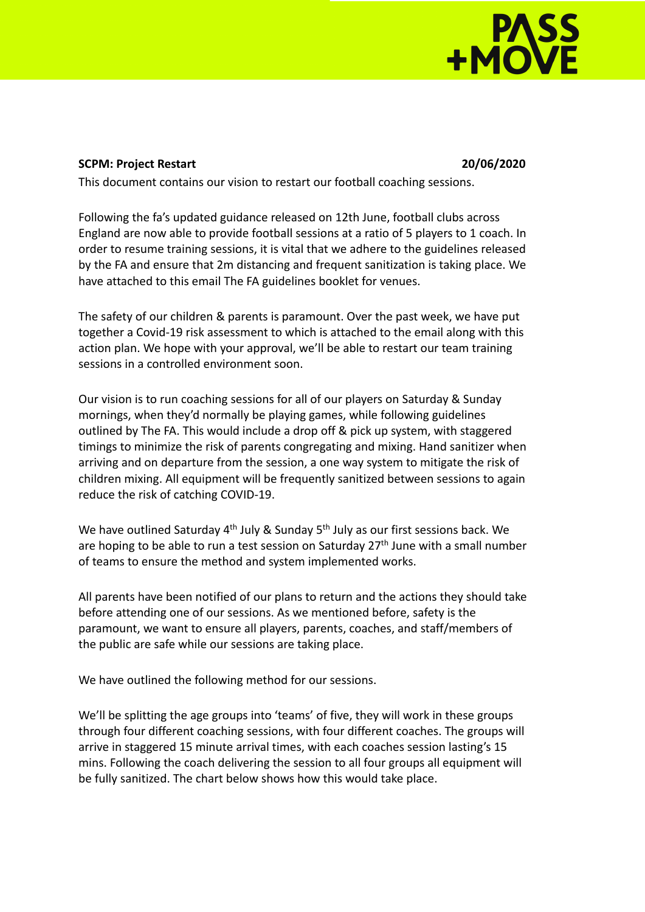## **PASS**<br>HMOVE

## **SCPM: Project Restart 20/06/2020**

This document contains our vision to restart our football coaching sessions.

Following the fa's updated guidance released on 12th June, football clubs across England are now able to provide football sessions at a ratio of 5 players to 1 coach. In order to resume training sessions, it is vital that we adhere to the guidelines released by the FA and ensure that 2m distancing and frequent sanitization is taking place. We have attached to this email The FA guidelines booklet for venues.

The safety of our children & parents is paramount. Over the past week, we have put together a Covid-19 risk assessment to which is attached to the email along with this action plan. We hope with your approval, we'll be able to restart our team training sessions in a controlled environment soon.

Our vision is to run coaching sessions for all of our players on Saturday & Sunday mornings, when they'd normally be playing games, while following guidelines outlined by The FA. This would include a drop off & pick up system, with staggered timings to minimize the risk of parents congregating and mixing. Hand sanitizer when arriving and on departure from the session, a one way system to mitigate the risk of children mixing. All equipment will be frequently sanitized between sessions to again reduce the risk of catching COVID-19.

We have outlined Saturday 4<sup>th</sup> July & Sunday 5<sup>th</sup> July as our first sessions back. We are hoping to be able to run a test session on Saturday  $27<sup>th</sup>$  June with a small number of teams to ensure the method and system implemented works.

All parents have been notified of our plans to return and the actions they should take before attending one of our sessions. As we mentioned before, safety is the paramount, we want to ensure all players, parents, coaches, and staff/members of the public are safe while our sessions are taking place.

We have outlined the following method for our sessions.

We'll be splitting the age groups into 'teams' of five, they will work in these groups through four different coaching sessions, with four different coaches. The groups will arrive in staggered 15 minute arrival times, with each coaches session lasting's 15 mins. Following the coach delivering the session to all four groups all equipment will be fully sanitized. The chart below shows how this would take place.